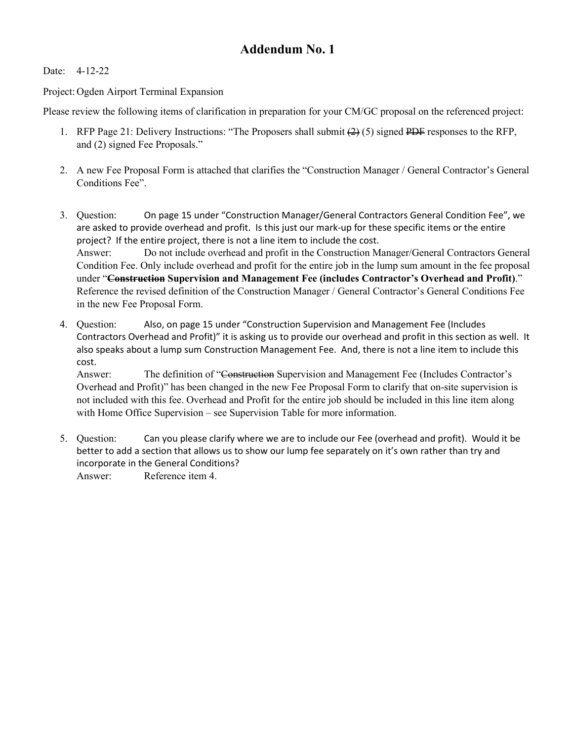## **Addendum No. 1**

Date: 4-12-22

Project: Ogden Airport Terminal Expansion

Please review the following items of clarification in preparation for your CM/GC proposal on the referenced project:

- 1. RFP Page 21: Delivery Instructions: "The Proposers shall submit  $(2)$  (5) signed PDF responses to the RFP, and (2) signed Fee Proposals."
- 2. A new Fee Proposal Form is attached that clarifies the "Construction Manager / General Contractor's General Conditions Fee".
- 3. Question: On page 15 under "Construction Manager/General Contractors General Condition Fee", we are asked to provide overhead and profit. Is this just our mark-up for these specific items or the entire project? If the entire project, there is not a line item to include the cost. Answer: Do not include overhead and profit in the Construction Manager/General Contractors General Condition Fee. Only include overhead and profit for the entire job in the lump sum amount in the fee proposal under "**Construction Supervision and Management Fee (includes Contractor's Overhead and Profit)**." Reference the revised definition of the Construction Manager / General Contractor's General Conditions Fee in the new Fee Proposal Form.
- 4. Question: Also, on page 15 under "Construction Supervision and Management Fee (Includes Contractors Overhead and Profit)" it is asking us to provide our overhead and profit in this section as well. It also speaks about a lump sum Construction Management Fee. And, there is not a line item to include this cost.

Answer: The definition of "Construction Supervision and Management Fee (Includes Contractor's Overhead and Profit)" has been changed in the new Fee Proposal Form to clarify that on-site supervision is not included with this fee. Overhead and Profit for the entire job should be included in this line item along with Home Office Supervision – see Supervision Table for more information.

5. Question: Can you please clarify where we are to include our Fee (overhead and profit). Would it be better to add a section that allows us to show our lump fee separately on it's own rather than try and incorporate in the General Conditions?

Answer: Reference item 4.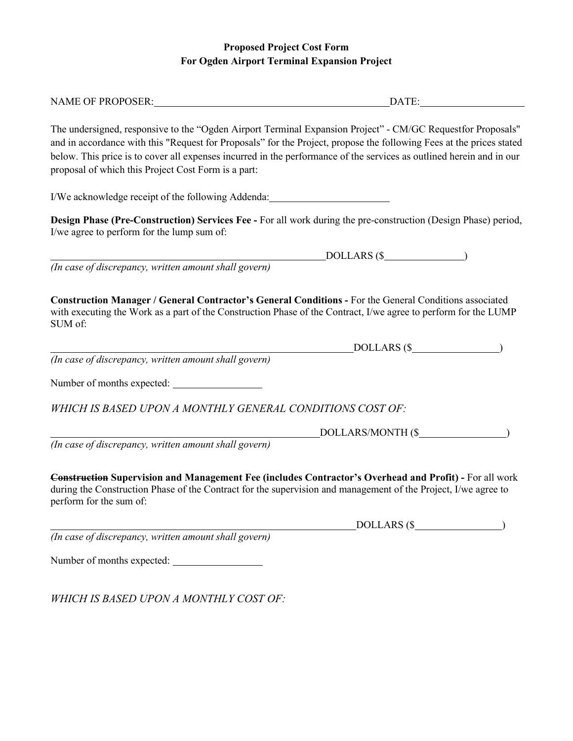## **Proposed Project Cost Form For Ogden Airport Terminal Expansion Project**

| NAME OF PROPOSER:                                                                                                                                                                                                                                                                                                                                                                                                  | DATE:                     |  |
|--------------------------------------------------------------------------------------------------------------------------------------------------------------------------------------------------------------------------------------------------------------------------------------------------------------------------------------------------------------------------------------------------------------------|---------------------------|--|
| The undersigned, responsive to the "Ogden Airport Terminal Expansion Project" - CM/GC Requestfor Proposals"<br>and in accordance with this "Request for Proposals" for the Project, propose the following Fees at the prices stated<br>below. This price is to cover all expenses incurred in the performance of the services as outlined herein and in our<br>proposal of which this Project Cost Form is a part: |                           |  |
| I/We acknowledge receipt of the following Addenda: _____________________________                                                                                                                                                                                                                                                                                                                                   |                           |  |
| Design Phase (Pre-Construction) Services Fee - For all work during the pre-construction (Design Phase) period,<br>I/we agree to perform for the lump sum of:                                                                                                                                                                                                                                                       |                           |  |
|                                                                                                                                                                                                                                                                                                                                                                                                                    | $DOLLARS$ (\$             |  |
| (In case of discrepancy, written amount shall govern)                                                                                                                                                                                                                                                                                                                                                              |                           |  |
| with executing the Work as a part of the Construction Phase of the Contract, I/we agree to perform for the LUMP<br>SUM of:<br>(In case of discrepancy, written amount shall govern)                                                                                                                                                                                                                                | $DOLLARS$ ( $\frac{1}{2}$ |  |
|                                                                                                                                                                                                                                                                                                                                                                                                                    |                           |  |
| WHICH IS BASED UPON A MONTHLY GENERAL CONDITIONS COST OF:                                                                                                                                                                                                                                                                                                                                                          |                           |  |
|                                                                                                                                                                                                                                                                                                                                                                                                                    | DOLLARS/MONTH (\$         |  |
| (In case of discrepancy, written amount shall govern)                                                                                                                                                                                                                                                                                                                                                              |                           |  |
| <b>Construction Supervision and Management Fee (includes Contractor's Overhead and Profit)</b> - For all work<br>during the Construction Phase of the Contract for the supervision and management of the Project, I/we agree to<br>perform for the sum of:                                                                                                                                                         |                           |  |
|                                                                                                                                                                                                                                                                                                                                                                                                                    | DOLLARS (\$               |  |
| (In case of discrepancy, written amount shall govern)                                                                                                                                                                                                                                                                                                                                                              |                           |  |

Number of months expected:

*WHICH IS BASED UPON A MONTHLY COST OF:*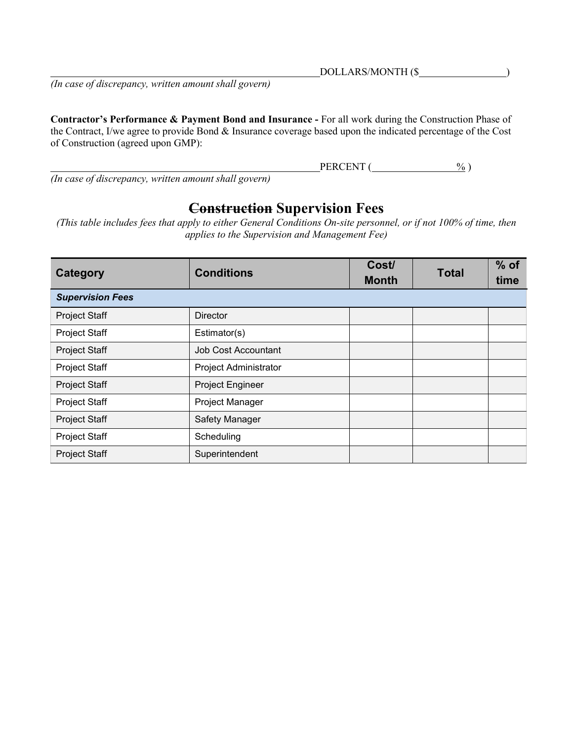DOLLARS/MONTH (\$

*(In case of discrepancy, written amount shall govern)*

**Contractor's Performance & Payment Bond and Insurance -** For all work during the Construction Phase of the Contract, I/we agree to provide Bond & Insurance coverage based upon the indicated percentage of the Cost of Construction (agreed upon GMP):

 $PERCENT$  ( $\frac{\%}{\%}$ )

*(In case of discrepancy, written amount shall govern)*

## **Construction Supervision Fees**

*(This table includes fees that apply to either General Conditions On-site personnel, or if not 100% of time, then applies to the Supervision and Management Fee)*

| Category                | <b>Conditions</b>          | Cost/<br><b>Month</b> | <b>Total</b> | $%$ of<br>time |
|-------------------------|----------------------------|-----------------------|--------------|----------------|
| <b>Supervision Fees</b> |                            |                       |              |                |
| <b>Project Staff</b>    | <b>Director</b>            |                       |              |                |
| Project Staff           | Estimator(s)               |                       |              |                |
| Project Staff           | <b>Job Cost Accountant</b> |                       |              |                |
| Project Staff           | Project Administrator      |                       |              |                |
| <b>Project Staff</b>    | Project Engineer           |                       |              |                |
| Project Staff           | Project Manager            |                       |              |                |
| <b>Project Staff</b>    | Safety Manager             |                       |              |                |
| Project Staff           | Scheduling                 |                       |              |                |
| Project Staff           | Superintendent             |                       |              |                |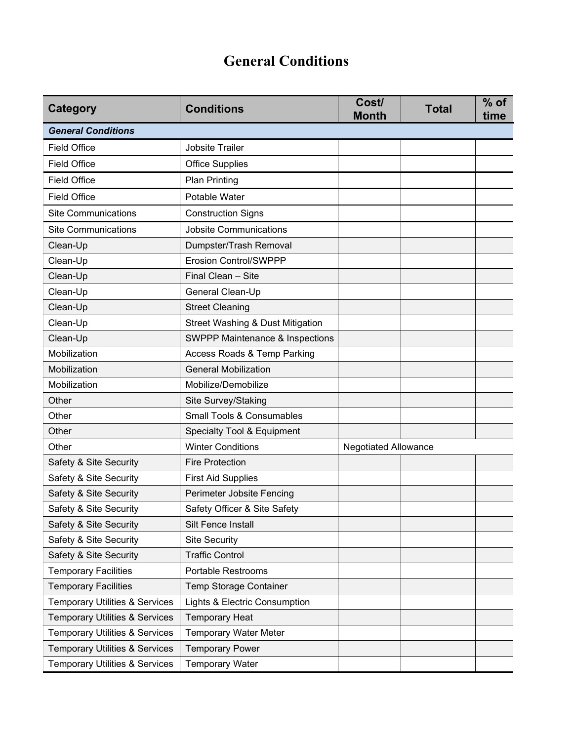## **General Conditions**

| <b>Category</b>                           | <b>Conditions</b>                           | Cost/<br><b>Month</b>       | <b>Total</b> | $%$ of<br>time |
|-------------------------------------------|---------------------------------------------|-----------------------------|--------------|----------------|
| <b>General Conditions</b>                 |                                             |                             |              |                |
| <b>Field Office</b>                       | Jobsite Trailer                             |                             |              |                |
| <b>Field Office</b>                       | <b>Office Supplies</b>                      |                             |              |                |
| <b>Field Office</b>                       | <b>Plan Printing</b>                        |                             |              |                |
| <b>Field Office</b>                       | Potable Water                               |                             |              |                |
| <b>Site Communications</b>                | <b>Construction Signs</b>                   |                             |              |                |
| <b>Site Communications</b>                | <b>Jobsite Communications</b>               |                             |              |                |
| Clean-Up                                  | Dumpster/Trash Removal                      |                             |              |                |
| Clean-Up                                  | <b>Erosion Control/SWPPP</b>                |                             |              |                |
| Clean-Up                                  | Final Clean - Site                          |                             |              |                |
| Clean-Up                                  | General Clean-Up                            |                             |              |                |
| Clean-Up                                  | <b>Street Cleaning</b>                      |                             |              |                |
| Clean-Up                                  | <b>Street Washing &amp; Dust Mitigation</b> |                             |              |                |
| Clean-Up                                  | <b>SWPPP Maintenance &amp; Inspections</b>  |                             |              |                |
| Mobilization                              | Access Roads & Temp Parking                 |                             |              |                |
| Mobilization                              | <b>General Mobilization</b>                 |                             |              |                |
| Mobilization                              | Mobilize/Demobilize                         |                             |              |                |
| Other                                     | Site Survey/Staking                         |                             |              |                |
| Other                                     | <b>Small Tools &amp; Consumables</b>        |                             |              |                |
| Other                                     | Specialty Tool & Equipment                  |                             |              |                |
| Other                                     | <b>Winter Conditions</b>                    | <b>Negotiated Allowance</b> |              |                |
| Safety & Site Security                    | <b>Fire Protection</b>                      |                             |              |                |
| Safety & Site Security                    | <b>First Aid Supplies</b>                   |                             |              |                |
| Safety & Site Security                    | Perimeter Jobsite Fencing                   |                             |              |                |
| Safety & Site Security                    | Safety Officer & Site Safety                |                             |              |                |
| Safety & Site Security                    | Silt Fence Install                          |                             |              |                |
| Safety & Site Security                    | <b>Site Security</b>                        |                             |              |                |
| Safety & Site Security                    | <b>Traffic Control</b>                      |                             |              |                |
| <b>Temporary Facilities</b>               | Portable Restrooms                          |                             |              |                |
| <b>Temporary Facilities</b>               | Temp Storage Container                      |                             |              |                |
| <b>Temporary Utilities &amp; Services</b> | Lights & Electric Consumption               |                             |              |                |
| <b>Temporary Utilities &amp; Services</b> | <b>Temporary Heat</b>                       |                             |              |                |
| <b>Temporary Utilities &amp; Services</b> | <b>Temporary Water Meter</b>                |                             |              |                |
| <b>Temporary Utilities &amp; Services</b> | <b>Temporary Power</b>                      |                             |              |                |
| <b>Temporary Utilities &amp; Services</b> | <b>Temporary Water</b>                      |                             |              |                |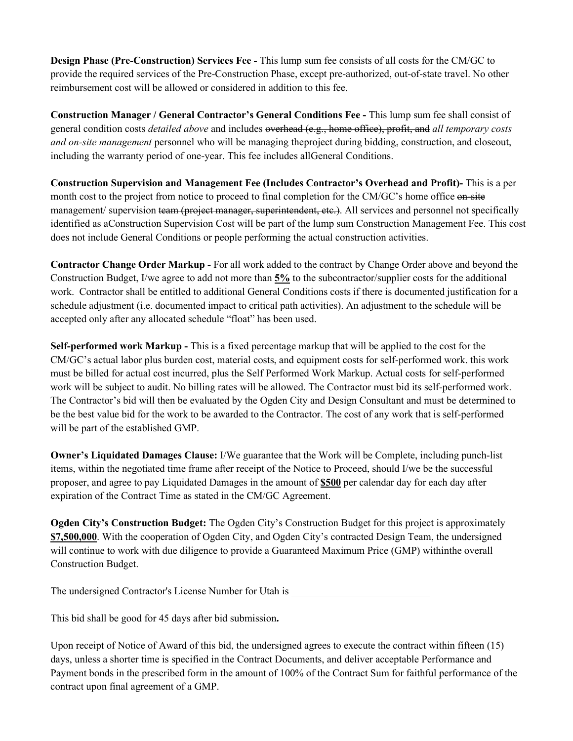**Design Phase (Pre-Construction) Services Fee -** This lump sum fee consists of all costs for the CM/GC to provide the required services of the Pre-Construction Phase, except pre-authorized, out-of-state travel. No other reimbursement cost will be allowed or considered in addition to this fee.

**Construction Manager / General Contractor's General Conditions Fee -** This lump sum fee shall consist of general condition costs *detailed above* and includes overhead (e.g., home office), profit, and *all temporary costs and on-site management* personnel who will be managing theproject during bidding, construction, and closeout, including the warranty period of one-year. This fee includes allGeneral Conditions.

**Construction Supervision and Management Fee (Includes Contractor's Overhead and Profit)-** This is a per month cost to the project from notice to proceed to final completion for the CM/GC's home office on site management/ supervision team (project manager, superintendent, etc.). All services and personnel not specifically identified as aConstruction Supervision Cost will be part of the lump sum Construction Management Fee. This cost does not include General Conditions or people performing the actual construction activities.

**Contractor Change Order Markup -** For all work added to the contract by Change Order above and beyond the Construction Budget, I/we agree to add not more than **5%** to the subcontractor/supplier costs for the additional work. Contractor shall be entitled to additional General Conditions costs if there is documented justification for a schedule adjustment (i.e. documented impact to critical path activities). An adjustment to the schedule will be accepted only after any allocated schedule "float" has been used.

**Self-performed work Markup -** This is a fixed percentage markup that will be applied to the cost for the CM/GC's actual labor plus burden cost, material costs, and equipment costs for self-performed work. this work must be billed for actual cost incurred, plus the Self Performed Work Markup. Actual costs for self-performed work will be subject to audit. No billing rates will be allowed. The Contractor must bid its self-performed work. The Contractor's bid will then be evaluated by the Ogden City and Design Consultant and must be determined to be the best value bid for the work to be awarded to the Contractor. The cost of any work that is self-performed will be part of the established GMP.

**Owner's Liquidated Damages Clause:** I/We guarantee that the Work will be Complete, including punch-list items, within the negotiated time frame after receipt of the Notice to Proceed, should I/we be the successful proposer, and agree to pay Liquidated Damages in the amount of **\$500** per calendar day for each day after expiration of the Contract Time as stated in the CM/GC Agreement.

**Ogden City's Construction Budget:** The Ogden City's Construction Budget for this project is approximately **\$7,500,000**. With the cooperation of Ogden City, and Ogden City's contracted Design Team, the undersigned will continue to work with due diligence to provide a Guaranteed Maximum Price (GMP) withinthe overall Construction Budget.

The undersigned Contractor's License Number for Utah is

This bid shall be good for 45 days after bid submission**.**

Upon receipt of Notice of Award of this bid, the undersigned agrees to execute the contract within fifteen (15) days, unless a shorter time is specified in the Contract Documents, and deliver acceptable Performance and Payment bonds in the prescribed form in the amount of 100% of the Contract Sum for faithful performance of the contract upon final agreement of a GMP.